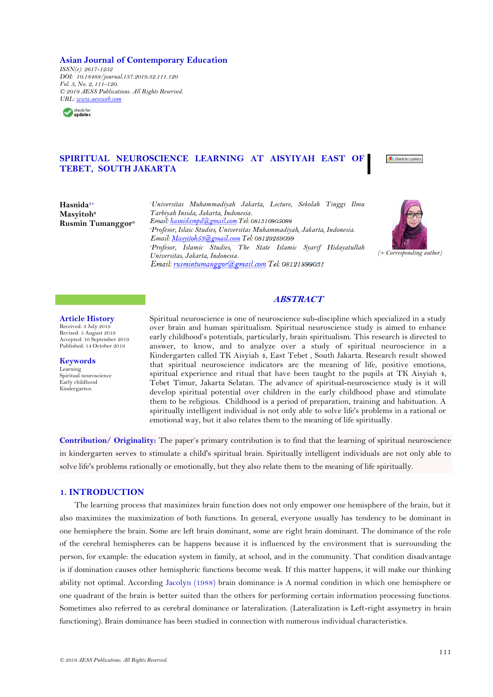#### **Asian Journal of Contemporary Education**

*ISSN(e): 2617-1252 DOI: 10.18488/journal.137.2019.32.111.120 Vol. 3, No. 2, 111-120. © 2019 AESS Publications. All Rights Reserved. URL: [www.aessweb.com](http://www.aessweb.com/)*



# **SPIRITUAL NEUROSCIENCE LEARNING AT AISYIYAH EAST OF TEBET, SOUTH JAKARTA**



**Hasnida1+ Masyitoh<sup>2</sup> Rusmin Tumanggor<sup>3</sup>** *<sup>1</sup>Universitas Muhammadiyah Jakarta, Lecture, Sekolah Tinggi Ilmu Tarbiyah Insida, Jakarta, Indonesia. <sup>2</sup>Profesor, Islaic Studies, Universitas Muhammadiyah, Jakarta, Indonesia.* Email: Masyitoh53@gmail.com Tel: 08129289099 *<sup>3</sup>Profesor, Islamic Studies, The State Islamic Syarif Hidayatullah Universitas, Jakarta, Indonesia.*



### **ABSTRACT**

Spiritual neuroscience is one of neuroscience sub-discipline which specialized in a study

#### **Article History**

Received: 3 July 2019 Revised: 5 August 2019 Accepted: 10 September 2019 Published: 14 October 2019

**Keywords** Learning Spiritual neuroscience Early childhood

Kindergarten.

over brain and human spiritualism. Spiritual neuroscience study is aimed to enhance early childhood's potentials, particularly, brain spiritualism. This research is directed to answer, to know, and to analyze over a study of spiritual neuroscience in a Kindergarten called TK Aisyiah 4, East Tebet , South Jakarta. Research result showed that spiritual neuroscience indicators are the meaning of life, positive emotions, spiritual experience and ritual that have been taught to the pupils at TK Aisyiah 4, Tebet Timur, Jakarta Selatan. The advance of spiritual-neuroscience study is it will develop spiritual potential over children in the early childhood phase and stimulate them to be religious. Childhood is a period of preparation, training and habituation. A spiritually intelligent individual is not only able to solve life's problems in a rational or emotional way, but it also relates them to the meaning of life spiritually.

**Contribution/ Originality:** The paper's primary contribution is to find that the learning of spiritual neuroscience in kindergarten serves to stimulate a child's spiritual brain. Spiritually intelligent individuals are not only able to solve life's problems rationally or emotionally, but they also relate them to the meaning of life spiritually.

## **1. INTRODUCTION**

The learning process that maximizes brain function does not only empower one hemisphere of the brain, but it also maximizes the maximization of both functions. In general, everyone usually has tendency to be dominant in one hemisphere the brain. Some are left brain dominant, some are right brain dominant. The dominance of the role of the cerebral hemispheres can be happens because it is influenced by the environment that is surrounding the person, for example: the education system in family, at school, and in the community. That condition disadvantage is if domination causes other hemispheric functions become weak. If this matter happens, it will make our thinking ability not optimal. According [Jacolyn \(1988\)](#page-9-0) brain dominance is A normal condition in which one hemisphere or one quadrant of the brain is better suited than the others for performing certain information processing functions. Sometimes also referred to as cerebral dominance or lateralization. (Lateralization is Left-right assymetry in brain functioning). Brain dominance has been studied in connection with numerous individual characteristics.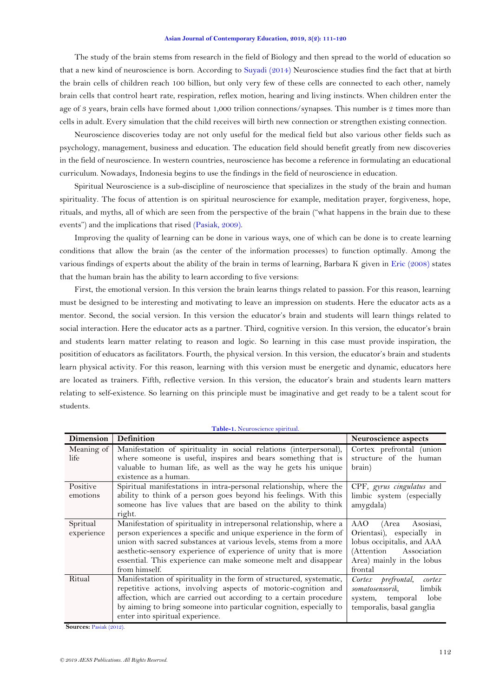#### **Asian Journal of Contemporary Education, 2019, 3(2): 111-120**

The study of the brain stems from research in the field of Biology and then spread to the world of education so that a new kind of neuroscience is born. According to [Suyadi \(2014\)](#page-9-1) Neuroscience studies find the fact that at birth the brain cells of children reach 100 billion, but only very few of these cells are connected to each other, namely brain cells that control heart rate, respiration, reflex motion, hearing and living instincts. When children enter the age of 3 years, brain cells have formed about 1,000 trilion connections/synapses. This number is 2 times more than cells in adult. Every simulation that the child receives will birth new connection or strengthen existing connection.

Neuroscience discoveries today are not only useful for the medical field but also various other fields such as psychology, management, business and education. The education field should benefit greatly from new discoveries in the field of neuroscience. In western countries, neuroscience has become a reference in formulating an educational curriculum. Nowadays, Indonesia begins to use the findings in the field of neuroscience in education.

Spiritual Neuroscience is a sub-discipline of neuroscience that specializes in the study of the brain and human spirituality. The focus of attention is on spiritual neuroscience for example, meditation prayer, forgiveness, hope, rituals, and myths, all of which are seen from the perspective of the brain ("what happens in the brain due to these events") and the implications that rised [\(Pasiak, 2009\)](#page-9-2).

Improving the quality of learning can be done in various ways, one of which can be done is to create learning conditions that allow the brain (as the center of the information processes) to function optimally. Among the various findings of experts about the ability of the brain in terms of learning, Barbara K given in [Eric \(2008\)](#page-9-3) states that the human brain has the ability to learn according to five versions:

First, the emotional version. In this version the brain learns things related to passion. For this reason, learning must be designed to be interesting and motivating to leave an impression on students. Here the educator acts as a mentor. Second, the social version. In this version the educator's brain and students will learn things related to social interaction. Here the educator acts as a partner. Third, cognitive version. In this version, the educator's brain and students learn matter relating to reason and logic. So learning in this case must provide inspiration, the positition of educators as facilitators. Fourth, the physical version. In this version, the educator's brain and students learn physical activity. For this reason, learning with this version must be energetic and dynamic, educators here are located as trainers. Fifth, reflective version. In this version, the educator's brain and students learn matters relating to self-existence. So learning on this principle must be imaginative and get ready to be a talent scout for students.

<span id="page-1-0"></span>

| Dimension  | Definition                                                           | Neuroscience aspects         |
|------------|----------------------------------------------------------------------|------------------------------|
| Meaning of | Manifestation of spirituality in social relations (interpersonal),   | Cortex prefrontal (union     |
| life.      | where someone is useful, inspires and bears something that is        | structure of the human       |
|            | valuable to human life, as well as the way he gets his unique        | brain)                       |
|            | existence as a human.                                                |                              |
| Positive   | Spiritual manifestations in intra-personal relationship, where the   | CPF, gyrus cingulatus and    |
| emotions   | ability to think of a person goes beyond his feelings. With this     | limbic system (especially    |
|            | someone has live values that are based on the ability to think       | amygdala)                    |
|            | right.                                                               |                              |
| Spritual   | Manifestation of spirituality in intrepersonal relationship, where a | AAO<br>(Area<br>Asosiasi,    |
| experience | person experiences a specific and unique experience in the form of   | Orientasi), especially in    |
|            | union with sacred substances at various levels, stems from a more    | lobus occipitalis, and AAA   |
|            | aesthetic-sensory experience of experience of unity that is more     | (Attention Association       |
|            | essential. This experience can make someone melt and disappear       | Area) mainly in the lobus    |
|            | from himself.                                                        | frontal                      |
| Ritual     | Manifestation of spirituality in the form of structured, systematic, | Cortex prefrontal,<br>cortex |
|            | repetitive actions, involving aspects of motoric-cognition and       | somatosensorik,<br>limbik    |
|            | affection, which are carried out according to a certain procedure    | lobe<br>system, temporal     |
|            | by aiming to bring someone into particular cognition, especially to  | temporalis, basal ganglia    |
|            | enter into spiritual experience.                                     |                              |

**Table-1.** Neuroscience spiritual.

**Sources:** [Pasiak \(2012\)](#page-9-4).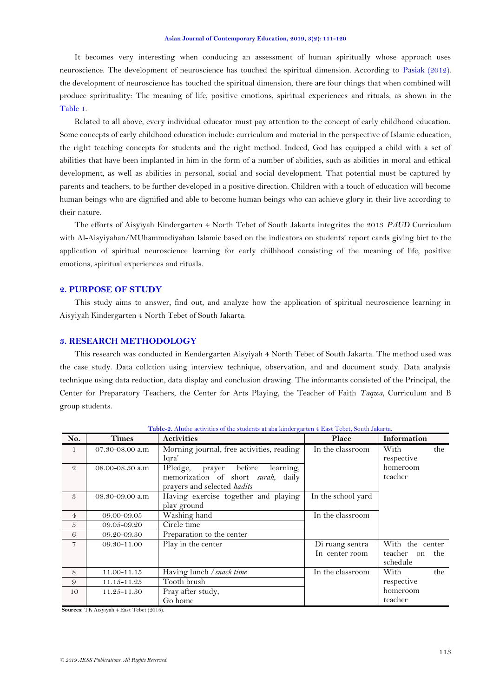It becomes very interesting when conducing an assessment of human spiritually whose approach uses neuroscience. The development of neuroscience has touched the spiritual dimension. According to [Pasiak \(2012\)](#page-9-4). the development of neuroscience has touched the spiritual dimension, there are four things that when combined will produce sprirituality: The meaning of life, positive emotions, spiritual experiences and rituals, as shown in the [Table 1.](#page-1-0)

Related to all above, every individual educator must pay attention to the concept of early childhood education. Some concepts of early childhood education include: curriculum and material in the perspective of Islamic education, the right teaching concepts for students and the right method. Indeed, God has equipped a child with a set of abilities that have been implanted in him in the form of a number of abilities, such as abilities in moral and ethical development, as well as abilities in personal, social and social development. That potential must be captured by parents and teachers, to be further developed in a positive direction. Children with a touch of education will become human beings who are dignified and able to become human beings who can achieve glory in their live according to their nature.

The efforts of Aisyiyah Kindergarten 4 North Tebet of South Jakarta integrites the 2013 *PAUD* Curriculum with Al-Aisyiyahan/MUhammadiyahan Islamic based on the indicators on students' report cards giving birt to the application of spiritual neuroscience learning for early chilhhood consisting of the meaning of life, positive emotions, spiritual experiences and rituals.

## **2. PURPOSE OF STUDY**

This study aims to answer, find out, and analyze how the application of spiritual neuroscience learning in Aisyiyah Kindergarten 4 North Tebet of South Jakarta.

### **3. RESEARCH METHODOLOGY**

This research was conducted in Kendergarten Aisyiyah 4 North Tebet of South Jakarta. The method used was the case study. Data collction using interview technique, observation, and and document study. Data analysis technique using data reduction, data display and conclusion drawing. The informants consisted of the Principal, the Center for Preparatory Teachers, the Center for Arts Playing, the Teacher of Faith *Taqwa*, Curriculum and B group students.

| No.            | <b>Times</b>    | <b>Activities</b>                          | Place              | Information           |
|----------------|-----------------|--------------------------------------------|--------------------|-----------------------|
| 1              | 07.30-08.00 a.m | Morning journal, free activities, reading  | In the classroom   | With<br>the           |
|                |                 | Iqra'                                      |                    | respective            |
| $\mathcal{Q}$  | 08.00-08.30 a.m | before<br>learning,<br>IPledge,<br>prayer  |                    | homeroom              |
|                |                 | memorization of short <i>surah</i> , daily |                    | teacher               |
|                |                 | prayers and selected hadits                |                    |                       |
| 3              | 08.30-09.00 a.m | Having exercise together and playing       | In the school yard |                       |
|                |                 | play ground                                |                    |                       |
| $\overline{4}$ | 09.00-09.05     | Washing hand                               | In the classroom   |                       |
| 5              | 09.05-09.20     | Circle time                                |                    |                       |
| 6              | 09.20-09.30     | Preparation to the center                  |                    |                       |
| $\overline{7}$ | 09.30-11.00     | $\overline{\mathrm{Play}}$ in the center   | Di ruang sentra    | With the center       |
|                |                 |                                            | In center room     | teacher<br>the<br>on. |
|                |                 |                                            |                    | schedule              |
| 8              | 11.00-11.15     | Having lunch / snack time                  | In the classroom   | the<br>With           |
| 9              | 11.15-11.25     | Tooth brush                                |                    | respective            |
| 10             | 11.25-11.30     | Pray after study,                          |                    | homeroom              |
|                |                 | Go home                                    |                    | teacher               |

**Table-2.** Aluthe activities of the students at aba kindergarten 4 East Tebet, South Jakarta.

**Sources:** TK Aisyiyah 4 East Tebet (2018).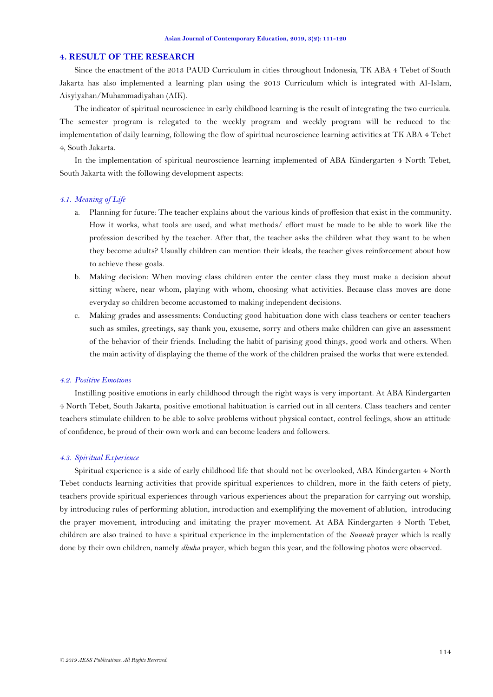### **4. RESULT OF THE RESEARCH**

Since the enactment of the 2013 PAUD Curriculum in cities throughout Indonesia, TK ABA 4 Tebet of South Jakarta has also implemented a learning plan using the 2013 Curriculum which is integrated with Al-Islam, Aisyiyahan/Muhammadiyahan (AIK).

The indicator of spiritual neuroscience in early childhood learning is the result of integrating the two curricula. The semester program is relegated to the weekly program and weekly program will be reduced to the implementation of daily learning, following the flow of spiritual neuroscience learning activities at TK ABA 4 Tebet 4, South Jakarta.

In the implementation of spiritual neuroscience learning implemented of ABA Kindergarten 4 North Tebet, South Jakarta with the following development aspects:

#### *4.1. Meaning of Life*

- a. Planning for future: The teacher explains about the various kinds of proffesion that exist in the community. How it works, what tools are used, and what methods/ effort must be made to be able to work like the profession described by the teacher. After that, the teacher asks the children what they want to be when they become adults? Usually children can mention their ideals, the teacher gives reinforcement about how to achieve these goals.
- b. Making decision: When moving class children enter the center class they must make a decision about sitting where, near whom, playing with whom, choosing what activities. Because class moves are done everyday so children become accustomed to making independent decisions.
- c. Making grades and assessments: Conducting good habituation done with class teachers or center teachers such as smiles, greetings, say thank you, exuseme, sorry and others make children can give an assessment of the behavior of their friends. Including the habit of parising good things, good work and others. When the main activity of displaying the theme of the work of the children praised the works that were extended.

#### *4.2. Positive Emotions*

Instilling positive emotions in early childhood through the right ways is very important. At ABA Kindergarten 4 North Tebet, South Jakarta, positive emotional habituation is carried out in all centers. Class teachers and center teachers stimulate children to be able to solve problems without physical contact, control feelings, show an attitude of confidence, be proud of their own work and can become leaders and followers.

#### *4.3. Spiritual Experience*

Spiritual experience is a side of early childhood life that should not be overlooked, ABA Kindergarten 4 North Tebet conducts learning activities that provide spiritual experiences to children, more in the faith ceters of piety, teachers provide spiritual experiences through various experiences about the preparation for carrying out worship, by introducing rules of performing ablution, introduction and exemplifying the movement of ablution, introducing the prayer movement, introducing and imitating the prayer movement. At ABA Kindergarten 4 North Tebet, children are also trained to have a spiritual experience in the implementation of the *Sunnah* prayer which is really done by their own children, namely *dhuha* prayer, which began this year, and the following photos were observed.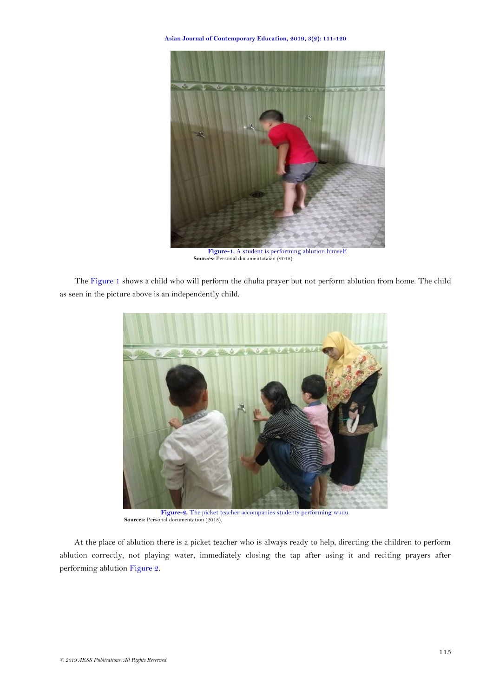**Asian Journal of Contemporary Education, 2019, 3(2): 111-120**



**Sources:** Personal documentataian (2018).

<span id="page-4-0"></span>The [Figure 1](#page-4-0) shows a child who will perform the dhuha prayer but not perform ablution from home. The child as seen in the picture above is an independently child.



**Figure-2.** The picket teacher accompanies students performing wudu. Sources: Personal documentation (2018).

<span id="page-4-1"></span>At the place of ablution there is a picket teacher who is always ready to help, directing the children to perform ablution correctly, not playing water, immediately closing the tap after using it and reciting prayers after performing ablution [Figure 2.](#page-4-1)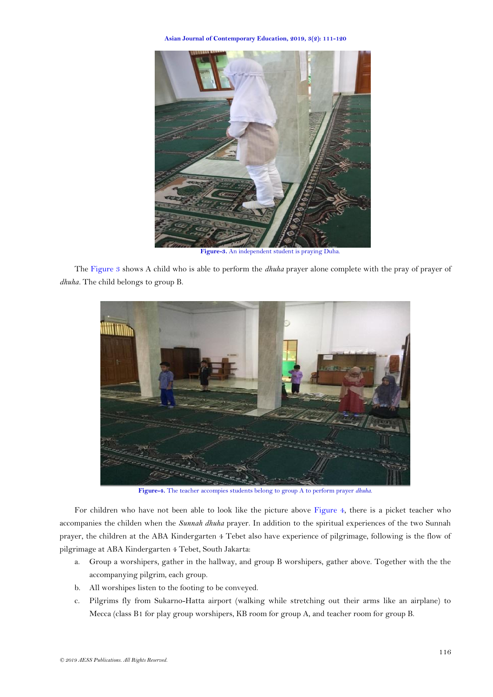**Asian Journal of Contemporary Education, 2019, 3(2): 111-120**



**Figure-3.** An independent student is praying Duha.

<span id="page-5-0"></span>The [Figure 3](#page-5-0) shows A child who is able to perform the *dhuha* prayer alone complete with the pray of prayer of *dhuha.* The child belongs to group B.



**Figure-4.** The teacher accompies students belong to group A to perform prayer *dhuha*.

<span id="page-5-1"></span>For children who have not been able to look like the picture above [Figure 4,](#page-5-1) there is a picket teacher who accompanies the childen when the *Sunnah dhuha* prayer. In addition to the spiritual experiences of the two Sunnah prayer, the children at the ABA Kindergarten 4 Tebet also have experience of pilgrimage, following is the flow of pilgrimage at ABA Kindergarten 4 Tebet, South Jakarta:

- a. Group a worshipers, gather in the hallway, and group B worshipers, gather above. Together with the the accompanying pilgrim, each group.
- b. All worshipes listen to the footing to be conveyed.
- c. Pilgrims fly from Sukarno-Hatta airport (walking while stretching out their arms like an airplane) to Mecca (class B1 for play group worshipers, KB room for group A, and teacher room for group B.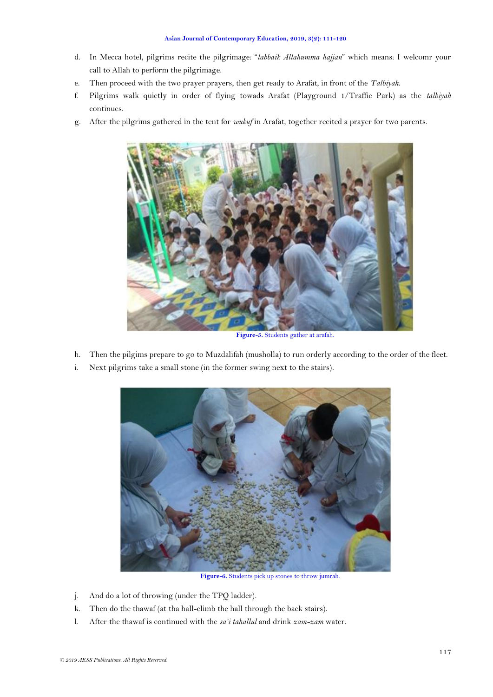- d. In Mecca hotel, pilgrims recite the pilgrimage: "*labbaik Allahumma hajjan*" which means: I welcomr your call to Allah to perform the pilgrimage.
- e. Then proceed with the two prayer prayers, then get ready to Arafat, in front of the *Talbiyah*.
- f. Pilgrims walk quietly in order of flying towads Arafat (Playground 1/Traffic Park) as the *talbiyah*  continues.
- g. After the pilgrims gathered in the tent for *wukuf* in Arafat, together recited a prayer for two parents.



**Figure-5.** Students gather at arafah.

- h. Then the pilgims prepare to go to Muzdalifah (musholla) to run orderly according to the order of the fleet.
- i. Next pilgrims take a small stone (in the former swing next to the stairs).



**Figure-6.** Students pick up stones to throw jumrah.

- j. And do a lot of throwing (under the TPQ ladder).
- k. Then do the thawaf (at tha hall-climb the hall through the back stairs).
- l. After the thawaf is continued with the *sa'i tahallul* and drink *zam-zam* water.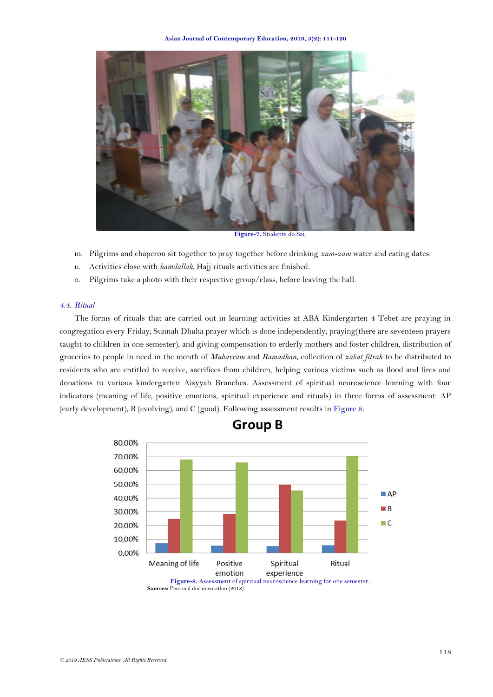

**Figure-7.** Students do Sai.

- m. Pilgrims and chaperon sit together to pray together before drinking *zam-zam* water and eating dates.
- n. Activities close with *hamdallah*, Hajj rituals activities are finished.
- o. Pilgrims take a photo with their respective group/class, before leaving the hall.

### *4.4. Ritual*

The forms of rituals that are carried out in learning activities at ABA Kindergarten 4 Tebet are praying in congregation every Friday, Sunnah Dhuha prayer which is done independently, praying(there are seventeen prayers taught to children in one semester), and giving compensation to erderly mothers and foster children, distribution of groceries to people in need in the month of *Muharram* and *Ramadhan*, collection of *zakat fitrah* to be distributed to residents who are entitled to receive, sacrifices from children, helping various victims such as flood and fires and donations to various kindergarten Aisyyah Branches. Assessment of spiritual neuroscience learning with four indicators (meaning of life, positive emotions, spiritual experience and rituals) in three forms of assessment: AP (early development), B (evolving), and C (good). Following assessment results in [Figure](#page-7-0) 8.



**Group B** 

<span id="page-7-0"></span>**Figure-8.** Assessment of spiritual neuroscience learning for one semester. **Sources:** Personal documentation (2018).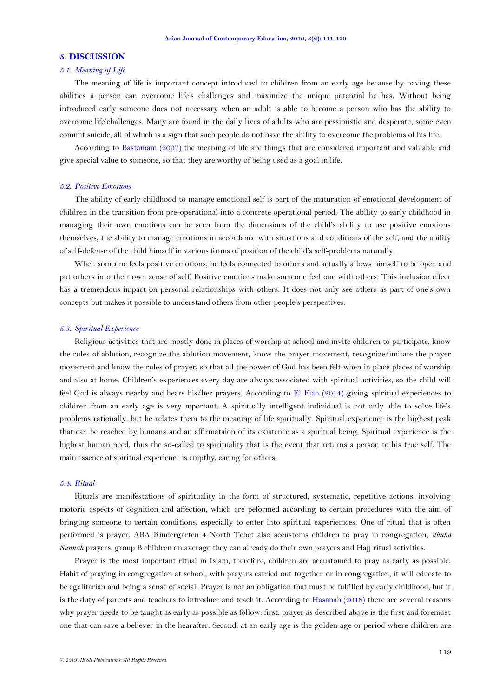#### **5. DISCUSSION**

#### *5.1. Meaning of Life*

The meaning of life is important concept introduced to children from an early age because by having these abilities a person can overcome life's challenges and maximize the unique potential he has. Without being introduced early someone does not necessary when an adult is able to become a person who has the ability to overcome life'challenges. Many are found in the daily lives of adults who are pessimistic and desperate, some even commit suicide, all of which is a sign that such people do not have the ability to overcome the problems of his life.

According to [Bastamam \(2007\)](#page-9-5) the meaning of life are things that are considered important and valuable and give special value to someone, so that they are worthy of being used as a goal in life.

#### *5.2. Positive Emotions*

The ability of early childhood to manage emotional self is part of the maturation of emotional development of children in the transition from pre-operational into a concrete operational period. The ability to early childhood in managing their own emotions can be seen from the dimensions of the child's ability to use positive emotions themselves, the ability to manage emotions in accordance with situations and conditions of the self, and the ability of self-defense of the child himself in various forms of position of the child's self-problems naturally.

When someone feels positive emotions, he feels connected to others and actually allows himself to be open and put others into their own sense of self. Positive emotions make someone feel one with others. This inclusion effect has a tremendous impact on personal relationships with others. It does not only see others as part of one's own concepts but makes it possible to understand others from other people's perspectives.

#### *5.3. Spiritual Experience*

Religious activities that are mostly done in places of worship at school and invite children to participate, know the rules of ablution, recognize the ablution movement, know the prayer movement, recognize/imitate the prayer movement and know the rules of prayer, so that all the power of God has been felt when in place places of worship and also at home. Children's experiences every day are always associated with spiritual activities, so the child will feel God is always nearby and hears his/her prayers. According to [El Fiah \(2014\)](#page-9-6) giving spiritual experiences to children from an early age is very mportant. A spiritually intelligent individual is not only able to solve life's problems rationally, but he relates them to the meaning of life spiritually. Spiritual experience is the highest peak that can be reached by humans and an affirmataion of its existence as a spiritual being. Spiritual experience is the highest human need, thus the so-called to spirituality that is the event that returns a person to his true self. The main essence of spiritual experience is empthy, caring for others.

#### *5.4. Ritual*

Rituals are manifestations of spirituality in the form of structured, systematic, repetitive actions, involving motoric aspects of cognition and affection, which are peformed according to certain procedures with the aim of bringing someone to certain conditions, especially to enter into spiritual experiemces. One of ritual that is often performed is prayer. ABA Kindergarten 4 North Tebet also accustoms children to pray in congregation, *dhuha Sunnah* prayers, group B children on average they can already do their own prayers and Hajj ritual activities.

Prayer is the most important ritual in Islam, therefore, children are accustomed to pray as early as possible. Habit of praying in congregation at school, with prayers carried out together or in congregation, it will educate to be egalitarian and being a sense of social. Prayer is not an obligation that must be fulfilled by early childhood, but it is the duty of parents and teachers to introduce and teach it. According to [Hasanah \(2018\)](#page-9-7) there are several reasons why prayer needs to be taught as early as possible as follow: first, prayer as described above is the first and foremost one that can save a believer in the hearafter. Second, at an early age is the golden age or period where children are